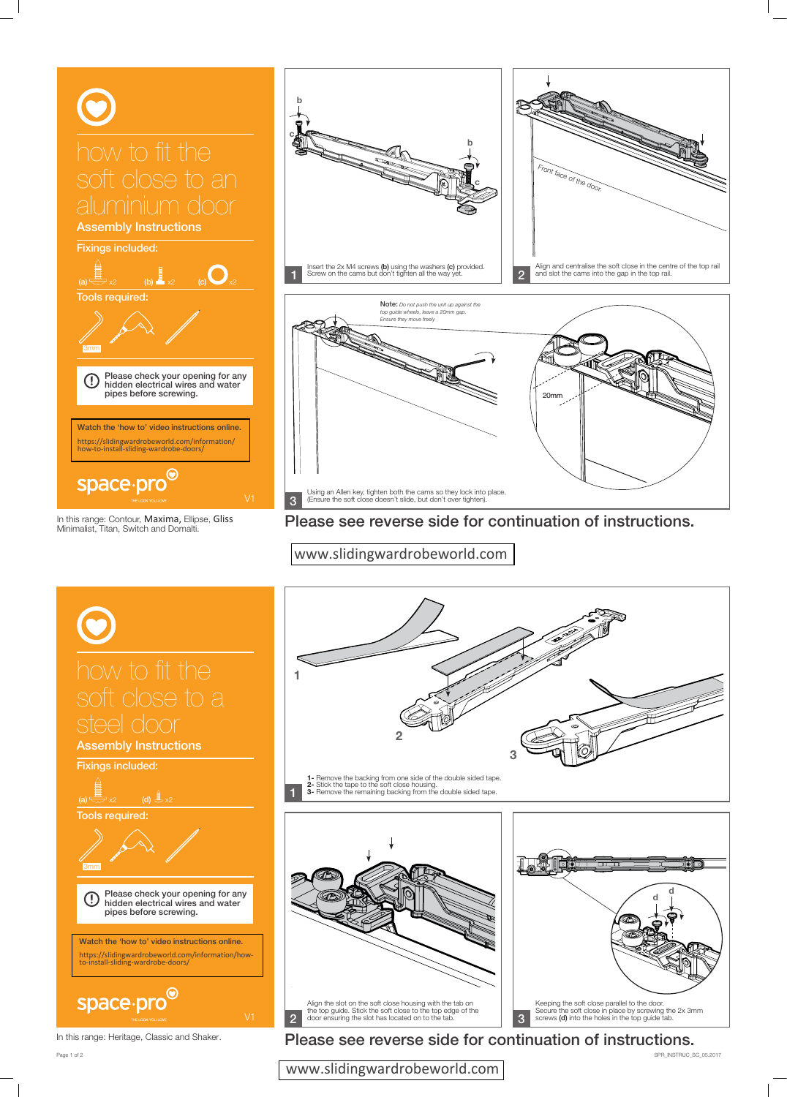SPR\_INSTRUC\_SC\_05.2017

Assembly Instructions Fixings included: (a)  $\Rightarrow$  x2 (b)  $\Rightarrow$  x2 (c)  $\Rightarrow$  x2 Tools required: 3mm Please check your opening for any  $\bigcup$ hidden electrical wires and water pipes before screwing. Watch the 'how to' video instructions online. [https://slidingwardrobeworld.com/information/](https://slidingwardrobeworld.com/information/how-to-install-sliding-wardrobe-doors/) how-to-install-sliding-wardrobe-doors/ space.pro<sup>o</sup>

In this range: Contour, Maxima, Ellipse, Gliss Minimalist, Titan, Switch and Domalti.







In this range: Heritage, Classic and Shaker.

Page 1 of 2

Please see reverse side for continuation of instructions.



Please see reverse side for continuation of instructions.

[www.slidingwardrobeworld.com](https://slidingwardrobeworld.com/)

## [www.slidingwardrobeworld.com](https://slidingwardrobeworld.com/)